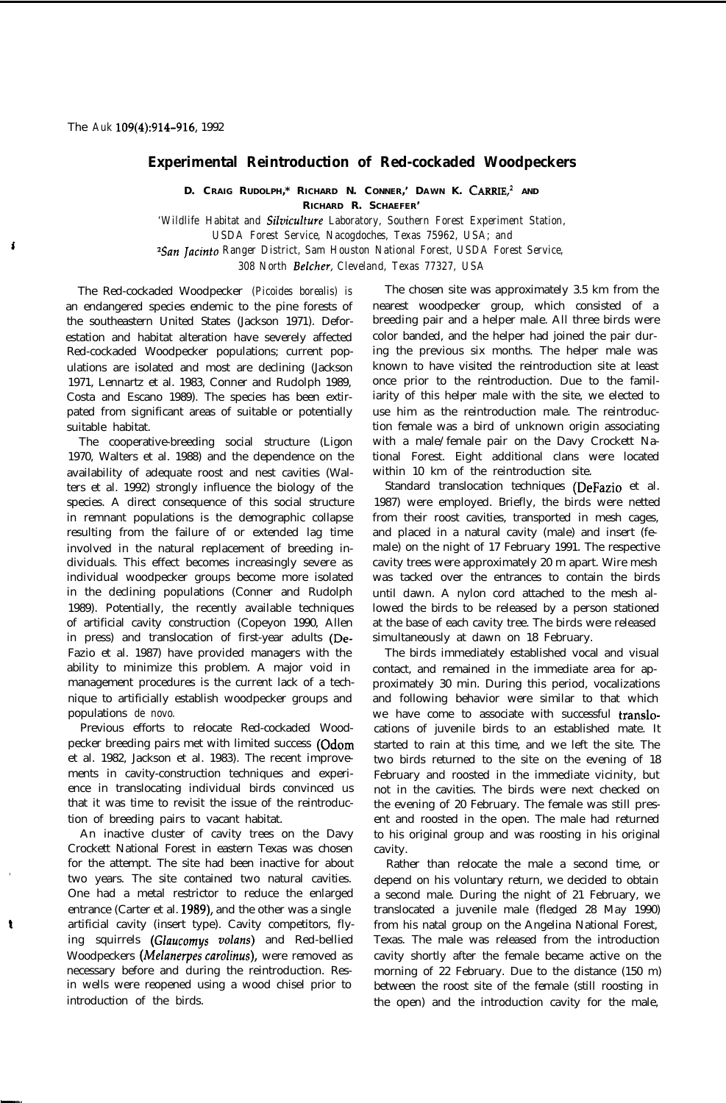## **Experimental Reintroduction of Red-cockaded Woodpeckers**

**D. CRAIG RUDOLPH,\* RICHARD N. CONNER,' DAWN K. CARRIE; AND RICHARD R. SCHAEFER'**

*'Wildlife Habitat and Siluiculture Laboratory, Southern Forest Experiment Station, USDA Forest Service, Nacogdoches, Texas 75962, USA; and ?San Jacinto Ranger District, Sam Houston National Forest, USDA Forest Service, 308 North Belcher, Cleveland, Texas 77327, USA*

The Red-cockaded Woodpecker *(Picoides borealis) is* an endangered species endemic to the pine forests of the southeastern United States (Jackson 1971). Deforestation and habitat alteration have severely affected Red-cockaded Woodpecker populations; current populations are isolated and most are declining (Jackson 1971, Lennartz et al. 1983, Conner and Rudolph 1989, Costa and Escano 1989). The species has been extirpated from significant areas of suitable or potentially suitable habitat.

The cooperative-breeding social structure (Ligon 1970, Walters et al. 1988) and the dependence on the availability of adequate roost and nest cavities (Walters et al. 1992) strongly influence the biology of the species. A direct consequence of this social structure in remnant populations is the demographic collapse resulting from the failure of or extended lag time involved in the natural replacement of breeding individuals. This effect becomes increasingly severe as individual woodpecker groups become more isolated in the declining populations (Conner and Rudolph 1989). Potentially, the recently available techniques of artificial cavity construction (Copeyon 1990, Allen in press) and translocation of first-year adults (De-Fazio et al. 1987) have provided managers with the ability to minimize this problem. A major void in management procedures is the current lack of a technique to artificially establish woodpecker groups and populations *de novo.*

Previous efforts to relocate Red-cockaded Woodpecker breeding pairs met with limited success (Odom et al. 1982, Jackson et al. 1983). The recent improvements in cavity-construction techniques and experience in translocating individual birds convinced us that it was time to revisit the issue of the reintroduction of breeding pairs to vacant habitat.

An inactive cluster of cavity trees on the Davy Crockett National Forest in eastern Texas was chosen for the attempt. The site had been inactive for about two years. The site contained two natural cavities. One had a metal restrictor to reduce the enlarged entrance (Carter et al. 1989), and the other was a single artificial cavity (insert type). Cavity competitors, flying squirrels *(Glaucomys volans)* and Red-bellied Woodpeckers *(Melanerpes carolinus),* were removed as necessary before and during the reintroduction. Resin wells were reopened using a wood chisel prior to introduction of the birds.

,

The chosen site was approximately 3.5 km from the nearest woodpecker group, which consisted of a breeding pair and a helper male. All three birds were color banded, and the helper had joined the pair during the previous six months. The helper male was known to have visited the reintroduction site at least once prior to the reintroduction. Due to the familiarity of this helper male with the site, we elected to use him as the reintroduction male. The reintroduction female was a bird of unknown origin associating with a male/female pair on the Davy Crockett National Forest. Eight additional clans were located within 10 km of the reintroduction site.

Standard translocation techniques (DeFazio et al. 1987) were employed. Briefly, the birds were netted from their roost cavities, transported in mesh cages, and placed in a natural cavity (male) and insert (female) on the night of 17 February 1991. The respective cavity trees were approximately 20 m apart. Wire mesh was tacked over the entrances to contain the birds until dawn. A nylon cord attached to the mesh allowed the birds to be released by a person stationed at the base of each cavity tree. The birds were released simultaneously at dawn on 18 February.

The birds immediately established vocal and visual contact, and remained in the immediate area for approximately 30 min. During this period, vocalizations and following behavior were similar to that which we have come to associate with successful translocations of juvenile birds to an established mate. It started to rain at this time, and we left the site. The two birds returned to the site on the evening of 18 February and roosted in the immediate vicinity, but not in the cavities. The birds were next checked on the evening of 20 February. The female was still present and roosted in the open. The male had returned to his original group and was roosting in his original cavity.

Rather than relocate the male a second time, or depend on his voluntary return, we decided to obtain a second male. During the night of 21 February, we translocated a juvenile male (fledged 28 May 1990) from his natal group on the Angelina National Forest, Texas. The male was released from the introduction cavity shortly after the female became active on the morning of 22 February. Due to the distance (150 m) between the roost site of the female (still roosting in the open) and the introduction cavity for the male,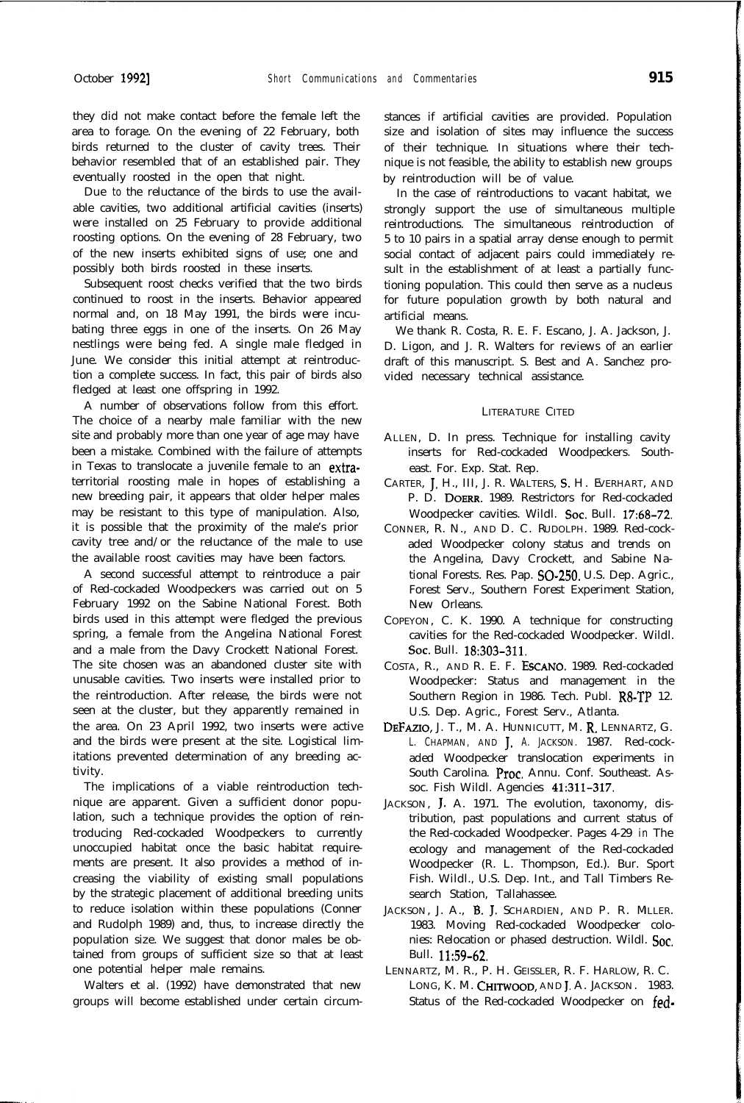they did not make contact before the female left the area to forage. On the evening of 22 February, both birds returned to the cluster of cavity trees. Their behavior resembled that of an established pair. They eventually roosted in the open that night.

Due *to* the reluctance of the birds to use the available cavities, two additional artificial cavities (inserts) were installed on 25 February to provide additional roosting options. On the evening of 28 February, two of the new inserts exhibited signs of use; one and possibly both birds roosted in these inserts.

Subsequent roost checks verified that the two birds continued to roost in the inserts. Behavior appeared normal and, on 18 May 1991, the birds were incubating three eggs in one of the inserts. On 26 May nestlings were being fed. A single male fledged in June. We consider this initial attempt at reintroduction a complete success. In fact, this pair of birds also fledged at least one offspring in 1992.

A number of observations follow from this effort. The choice of a nearby male familiar with the new site and probably more than one year of age may have been a mistake. Combined with the failure of attempts in Texas to translocate a juvenile female to an extraterritorial roosting male in hopes of establishing a new breeding pair, it appears that older helper males may be resistant to this type of manipulation. Also, it is possible that the proximity of the male's prior cavity tree and/or the reluctance of the male to use the available roost cavities may have been factors.

A second successful attempt to reintroduce a pair of Red-cockaded Woodpeckers was carried out on 5 February 1992 on the Sabine National Forest. Both birds used in this attempt were fledged the previous spring, a female from the Angelina National Forest and a male from the Davy Crockett National Forest. The site chosen was an abandoned cluster site with unusable cavities. Two inserts were installed prior to the reintroduction. After release, the birds were not seen at the cluster, but they apparently remained in the area. On 23 April 1992, two inserts were active and the birds were present at the site. Logistical limitations prevented determination of any breeding activity.

The implications of a viable reintroduction technique are apparent. Given a sufficient donor population, such a technique provides the option of reintroducing Red-cockaded Woodpeckers to currently unoccupied habitat once the basic habitat requirements are present. It also provides a method of increasing the viability of existing small populations by the strategic placement of additional breeding units to reduce isolation within these populations (Conner and Rudolph 1989) and, thus, to increase directly the population size. We suggest that donor males be obtained from groups of sufficient size so that at least one potential helper male remains.

Walters et al. (1992) have demonstrated that new groups will become established under certain circumstances if artificial cavities are provided. Population size and isolation of sites may influence the success of their technique. In situations where their technique is not feasible, the ability to establish new groups by reintroduction will be of value.

In the case of reintroductions to vacant habitat, we strongly support the use of simultaneous multiple reintroductions. The simultaneous reintroduction of 5 to 10 pairs in a spatial array dense enough to permit social contact of adjacent pairs could immediately result in the establishment of at least a partially functioning population. This could then serve as a nucleus for future population growth by both natural and artificial means.

We thank R. Costa, R. E. F. Escano, J. A. Jackson, J. D. Ligon, and J. R. Walters for reviews of an earlier draft of this manuscript. S. Best and A. Sanchez provided necessary technical assistance.

## LITERATURE CITED

- ALLEN, D. In press. Technique for installing cavity inserts for Red-cockaded Woodpeckers. Southeast. For. Exp. Stat. Rep.
- CARTER, J. H., III, J. R. WALTERS, S. H. EVERHART, AND P. D. DOERR. 1989. Restrictors for Red-cockaded Woodpecker cavities. Wildl. Soc. Bull. 17:68-72.
- CONNER, R. N., AND D. C. RUDOLPH. 1989. Red-cockaded Woodpecker colony status and trends on the Angelina, Davy Crockett, and Sabine National Forests. Res. Pap. 50-250. U.S. Dep. Agric., Forest Serv., Southern Forest Experiment Station, New Orleans.
- COPEYON, C. K. 1990. A technique for constructing cavities for the Red-cockaded Woodpecker. Wildl. Sot. Bull. 18:303-311.
- COSTA, R., AND R. E. F. ESCANO. 1989. Red-cockaded Woodpecker: Status and management in the Southern Region in 1986. Tech. Publ. R8-TP 12. U.S. Dep. Agric., Forest Serv., Atlanta.
- DEFAZIO, J. T., M. A. HUNNICUTT, M. R. LENNARTZ, G. L. CHAPMAN, AND J. A. JACKSON. 1987. Red-cockaded Woodpecker translocation experiments in South Carolina. Proc. Annu. Conf. Southeast. Assoc. Fish Wildl. Agencies 41:311-317.
- JACKSON, J. A. 1971. The evolution, taxonomy, distribution, past populations and current status of the Red-cockaded Woodpecker. Pages 4-29 *in* The ecology and management of the Red-cockaded Woodpecker (R. L. Thompson, Ed.). Bur. Sport Fish. Wildl., U.S. Dep. Int., and Tall Timbers Research Station, Tallahassee.
- JACKSON, J. A., B. J. SCHARDIEN, AND P. R. MLLER. 1983. Moving Red-cockaded Woodpecker colonies: Relocation or phased destruction. Wildl. Soc. Bull. 11:59-62.
- LENNARTZ, M. R., P. H. GEISSLER, R. F. HARLOW, R. C. LONG, K. M. CHITWOOD, AND J. A. JACKSON. 1983. Status of the Red-cockaded Woodpecker on fed-